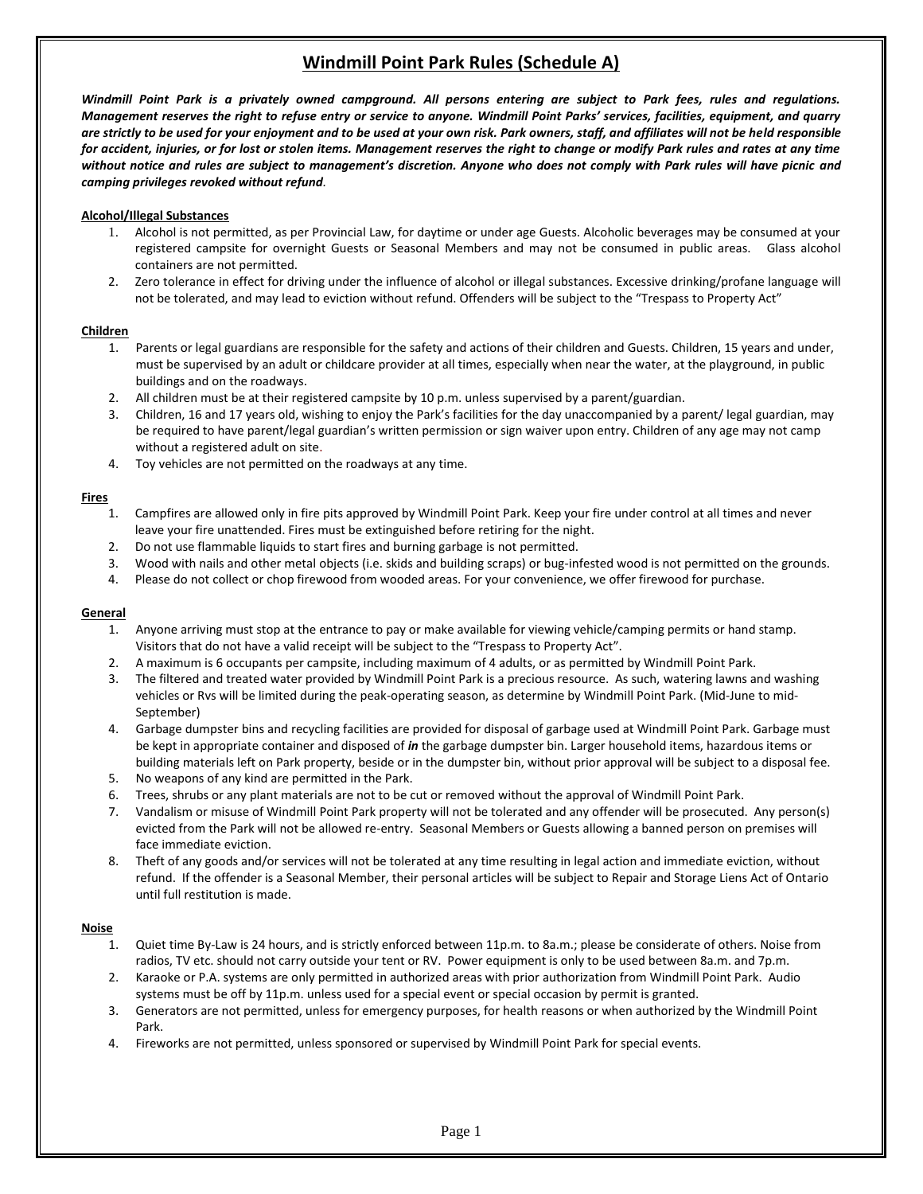# **Windmill Point Park Rules (Schedule A)**

*Windmill Point Park is a privately owned campground. All persons entering are subject to Park fees, rules and regulations. Management reserves the right to refuse entry or service to anyone. Windmill Point Parks' services, facilities, equipment, and quarry are strictly to be used for your enjoyment and to be used at your own risk. Park owners, staff, and affiliates will not be held responsible for accident, injuries, or for lost or stolen items. Management reserves the right to change or modify Park rules and rates at any time*  without notice and rules are subject to management's discretion. Anyone who does not comply with Park rules will have picnic and *camping privileges revoked without refund.*

# **Alcohol/Illegal Substances**

- 1. Alcohol is not permitted, as per Provincial Law, for daytime or under age Guests. Alcoholic beverages may be consumed at your registered campsite for overnight Guests or Seasonal Members and may not be consumed in public areas. Glass alcohol containers are not permitted.
- 2. Zero tolerance in effect for driving under the influence of alcohol or illegal substances. Excessive drinking/profane language will not be tolerated, and may lead to eviction without refund. Offenders will be subject to the "Trespass to Property Act"

## **Children**

- 1. Parents or legal guardians are responsible for the safety and actions of their children and Guests. Children, 15 years and under, must be supervised by an adult or childcare provider at all times, especially when near the water, at the playground, in public buildings and on the roadways.
- 2. All children must be at their registered campsite by 10 p.m. unless supervised by a parent/guardian.
- 3. Children, 16 and 17 years old, wishing to enjoy the Park's facilities for the day unaccompanied by a parent/ legal guardian, may be required to have parent/legal guardian's written permission or sign waiver upon entry. Children of any age may not camp without a registered adult on site.
- 4. Toy vehicles are not permitted on the roadways at any time.

# **Fires**

- 1. Campfires are allowed only in fire pits approved by Windmill Point Park. Keep your fire under control at all times and never leave your fire unattended. Fires must be extinguished before retiring for the night.
- 2. Do not use flammable liquids to start fires and burning garbage is not permitted.
- 3. Wood with nails and other metal objects (i.e. skids and building scraps) or bug-infested wood is not permitted on the grounds.
- 4. Please do not collect or chop firewood from wooded areas. For your convenience, we offer firewood for purchase.

## **General**

- 1. Anyone arriving must stop at the entrance to pay or make available for viewing vehicle/camping permits or hand stamp. Visitors that do not have a valid receipt will be subject to the "Trespass to Property Act".
- 2. A maximum is 6 occupants per campsite, including maximum of 4 adults, or as permitted by Windmill Point Park.
- 3. The filtered and treated water provided by Windmill Point Park is a precious resource. As such, watering lawns and washing vehicles or Rvs will be limited during the peak-operating season, as determine by Windmill Point Park. (Mid-June to mid-September)
- 4. Garbage dumpster bins and recycling facilities are provided for disposal of garbage used at Windmill Point Park. Garbage must be kept in appropriate container and disposed of *in* the garbage dumpster bin. Larger household items, hazardous items or building materials left on Park property, beside or in the dumpster bin, without prior approval will be subject to a disposal fee.
- 5. No weapons of any kind are permitted in the Park.
- 6. Trees, shrubs or any plant materials are not to be cut or removed without the approval of Windmill Point Park.
- 7. Vandalism or misuse of Windmill Point Park property will not be tolerated and any offender will be prosecuted. Any person(s) evicted from the Park will not be allowed re-entry. Seasonal Members or Guests allowing a banned person on premises will face immediate eviction.
- 8. Theft of any goods and/or services will not be tolerated at any time resulting in legal action and immediate eviction, without refund. If the offender is a Seasonal Member, their personal articles will be subject to Repair and Storage Liens Act of Ontario until full restitution is made.

## **Noise**

- 1. Quiet time By-Law is 24 hours, and is strictly enforced between 11p.m. to 8a.m.; please be considerate of others. Noise from radios, TV etc. should not carry outside your tent or RV. Power equipment is only to be used between 8a.m. and 7p.m.
- 2. Karaoke or P.A. systems are only permitted in authorized areas with prior authorization from Windmill Point Park. Audio systems must be off by 11p.m. unless used for a special event or special occasion by permit is granted.
- 3. Generators are not permitted, unless for emergency purposes, for health reasons or when authorized by the Windmill Point Park.
- 4. Fireworks are not permitted, unless sponsored or supervised by Windmill Point Park for special events.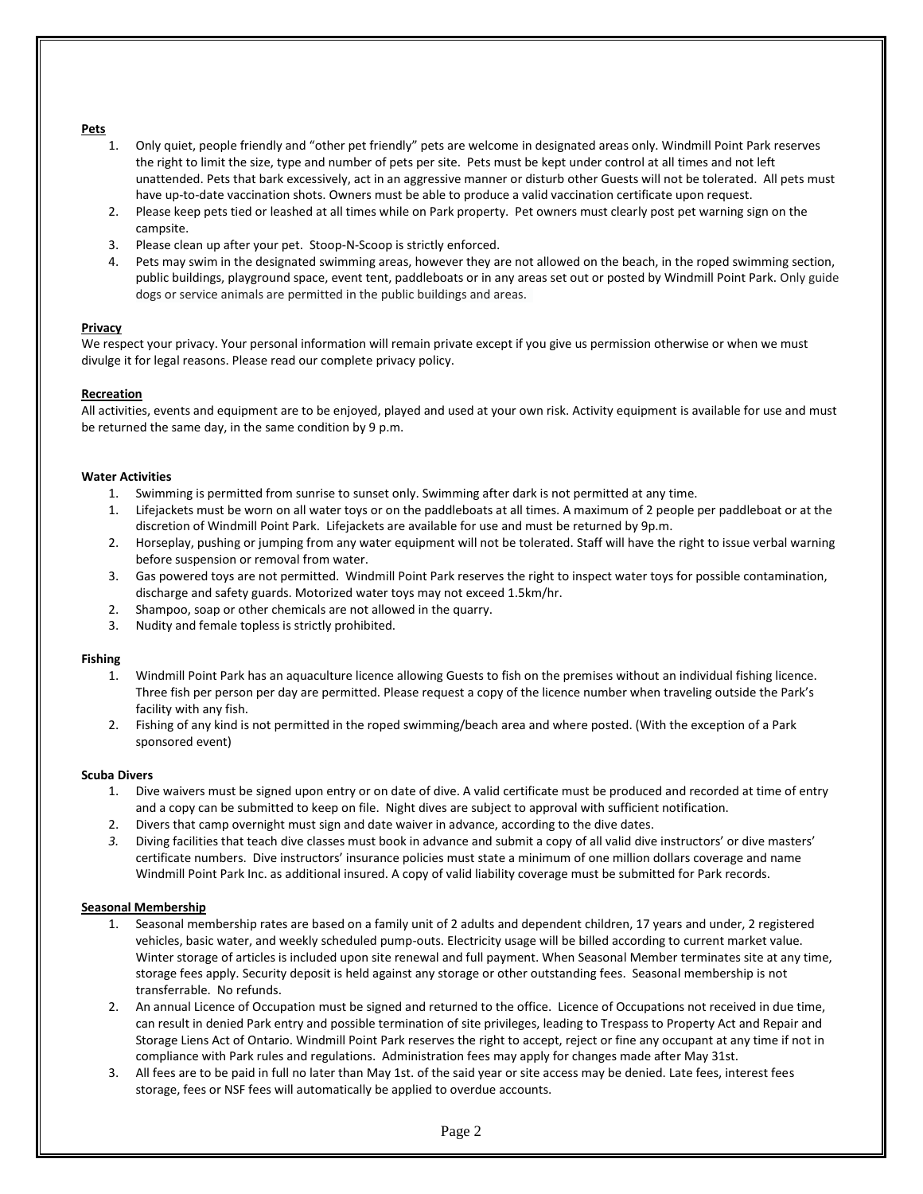# **Pets**

- 1. Only quiet, people friendly and "other pet friendly" pets are welcome in designated areas only. Windmill Point Park reserves the right to limit the size, type and number of pets per site. Pets must be kept under control at all times and not left unattended. Pets that bark excessively, act in an aggressive manner or disturb other Guests will not be tolerated. All pets must have up-to-date vaccination shots. Owners must be able to produce a valid vaccination certificate upon request.
- 2. Please keep pets tied or leashed at all times while on Park property. Pet owners must clearly post pet warning sign on the campsite.
- 3. Please clean up after your pet. Stoop-N-Scoop is strictly enforced.
- 4. Pets may swim in the designated swimming areas, however they are not allowed on the beach, in the roped swimming section, public buildings, playground space, event tent, paddleboats or in any areas set out or posted by Windmill Point Park. Only guide dogs or service animals are permitted in the public buildings and areas.

## **Privacy**

We respect your privacy. Your personal information will remain private except if you give us permission otherwise or when we must divulge it for legal reasons. Please read our complete privacy policy.

#### **Recreation**

All activities, events and equipment are to be enjoyed, played and used at your own risk. Activity equipment is available for use and must be returned the same day, in the same condition by 9 p.m.

#### **Water Activities**

- 1. Swimming is permitted from sunrise to sunset only. Swimming after dark is not permitted at any time.
- 1. Lifejackets must be worn on all water toys or on the paddleboats at all times. A maximum of 2 people per paddleboat or at the discretion of Windmill Point Park. Lifejackets are available for use and must be returned by 9p.m.
- 2. Horseplay, pushing or jumping from any water equipment will not be tolerated. Staff will have the right to issue verbal warning before suspension or removal from water.
- 3. Gas powered toys are not permitted. Windmill Point Park reserves the right to inspect water toys for possible contamination, discharge and safety guards. Motorized water toys may not exceed 1.5km/hr.
- 2. Shampoo, soap or other chemicals are not allowed in the quarry.
- 3. Nudity and female topless is strictly prohibited.

#### **Fishing**

- 1. Windmill Point Park has an aquaculture licence allowing Guests to fish on the premises without an individual fishing licence. Three fish per person per day are permitted. Please request a copy of the licence number when traveling outside the Park's facility with any fish.
- 2. Fishing of any kind is not permitted in the roped swimming/beach area and where posted. (With the exception of a Park sponsored event)

#### **Scuba Divers**

- 1. Dive waivers must be signed upon entry or on date of dive. A valid certificate must be produced and recorded at time of entry and a copy can be submitted to keep on file. Night dives are subject to approval with sufficient notification.
- 2. Divers that camp overnight must sign and date waiver in advance, according to the dive dates.
- *3.* Diving facilities that teach dive classes must book in advance and submit a copy of all valid dive instructors' or dive masters' certificate numbers. Dive instructors' insurance policies must state a minimum of one million dollars coverage and name Windmill Point Park Inc. as additional insured. A copy of valid liability coverage must be submitted for Park records.

#### **Seasonal Membership**

- 1. Seasonal membership rates are based on a family unit of 2 adults and dependent children, 17 years and under, 2 registered vehicles, basic water, and weekly scheduled pump-outs. Electricity usage will be billed according to current market value. Winter storage of articles is included upon site renewal and full payment. When Seasonal Member terminates site at any time, storage fees apply. Security deposit is held against any storage or other outstanding fees. Seasonal membership is not transferrable. No refunds.
- 2. An annual Licence of Occupation must be signed and returned to the office. Licence of Occupations not received in due time, can result in denied Park entry and possible termination of site privileges, leading to Trespass to Property Act and Repair and Storage Liens Act of Ontario. Windmill Point Park reserves the right to accept, reject or fine any occupant at any time if not in compliance with Park rules and regulations. Administration fees may apply for changes made after May 31st.
- 3. All fees are to be paid in full no later than May 1st. of the said year or site access may be denied. Late fees, interest fees storage, fees or NSF fees will automatically be applied to overdue accounts.